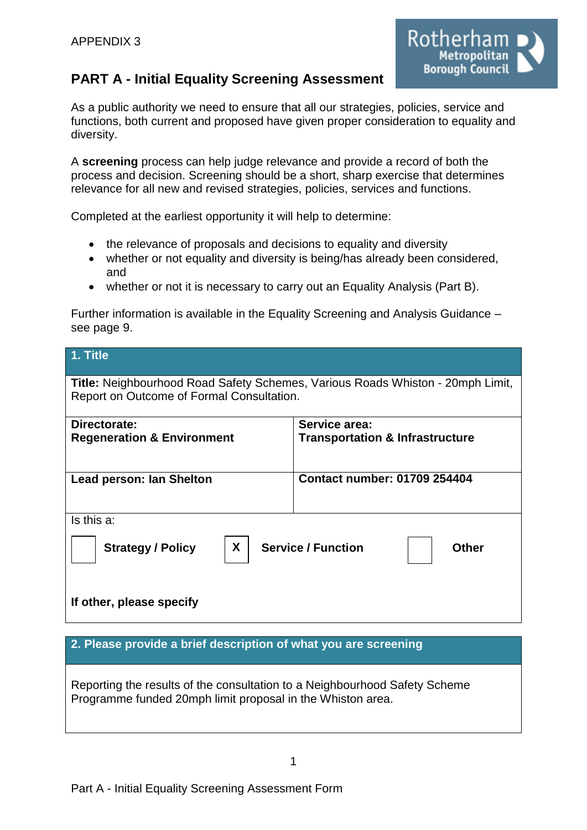

# **PART A - Initial Equality Screening Assessment**

As a public authority we need to ensure that all our strategies, policies, service and functions, both current and proposed have given proper consideration to equality and diversity.

A **screening** process can help judge relevance and provide a record of both the process and decision. Screening should be a short, sharp exercise that determines relevance for all new and revised strategies, policies, services and functions.

Completed at the earliest opportunity it will help to determine:

- the relevance of proposals and decisions to equality and diversity
- whether or not equality and diversity is being/has already been considered, and
- whether or not it is necessary to carry out an Equality Analysis (Part B).

Further information is available in the Equality Screening and Analysis Guidance – see page 9.

| $1.$ Title                                                                                                                         |                                                             |  |  |  |
|------------------------------------------------------------------------------------------------------------------------------------|-------------------------------------------------------------|--|--|--|
| <b>Title:</b> Neighbourhood Road Safety Schemes, Various Roads Whiston - 20mph Limit,<br>Report on Outcome of Formal Consultation. |                                                             |  |  |  |
| Directorate:<br><b>Regeneration &amp; Environment</b>                                                                              | Service area:<br><b>Transportation &amp; Infrastructure</b> |  |  |  |
| Lead person: Ian Shelton                                                                                                           | <b>Contact number: 01709 254404</b>                         |  |  |  |
| Is this a:                                                                                                                         |                                                             |  |  |  |
| X.<br><b>Service / Function</b><br><b>Strategy / Policy</b><br><b>Other</b>                                                        |                                                             |  |  |  |
| If other, please specify                                                                                                           |                                                             |  |  |  |

# **2. Please provide a brief description of what you are screening**

Reporting the results of the consultation to a Neighbourhood Safety Scheme Programme funded 20mph limit proposal in the Whiston area.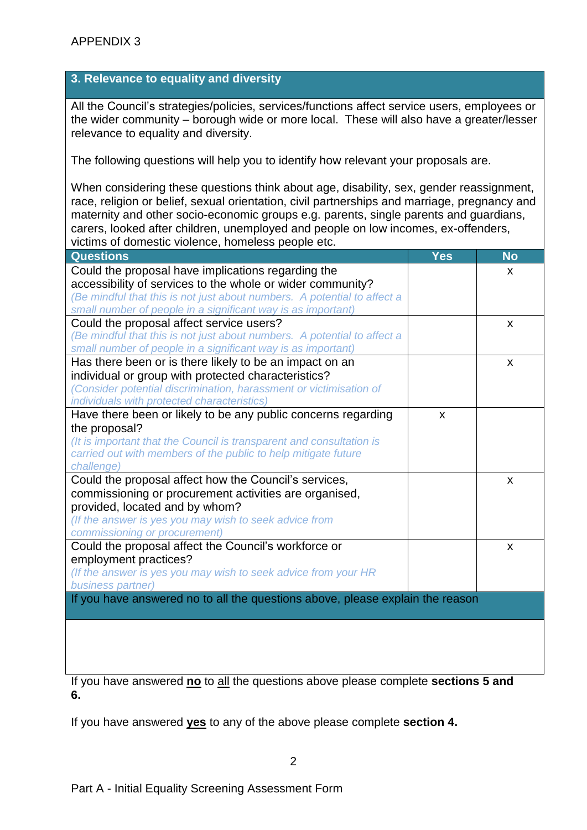# **3. Relevance to equality and diversity**

All the Council's strategies/policies, services/functions affect service users, employees or the wider community – borough wide or more local. These will also have a greater/lesser relevance to equality and diversity.

The following questions will help you to identify how relevant your proposals are.

When considering these questions think about age, disability, sex, gender reassignment, race, religion or belief, sexual orientation, civil partnerships and marriage, pregnancy and maternity and other socio-economic groups e.g. parents, single parents and guardians, carers, looked after children, unemployed and people on low incomes, ex-offenders, victims of domestic violence, homeless people etc.

| <b>Questions</b>                                                              | Yes | <b>No</b>                 |
|-------------------------------------------------------------------------------|-----|---------------------------|
| Could the proposal have implications regarding the                            |     | X                         |
| accessibility of services to the whole or wider community?                    |     |                           |
| (Be mindful that this is not just about numbers. A potential to affect a      |     |                           |
| small number of people in a significant way is as important)                  |     |                           |
| Could the proposal affect service users?                                      |     | X                         |
| (Be mindful that this is not just about numbers. A potential to affect a      |     |                           |
| small number of people in a significant way is as important)                  |     |                           |
| Has there been or is there likely to be an impact on an                       |     | X                         |
| individual or group with protected characteristics?                           |     |                           |
| (Consider potential discrimination, harassment or victimisation of            |     |                           |
| individuals with protected characteristics)                                   |     |                           |
| Have there been or likely to be any public concerns regarding                 | X   |                           |
| the proposal?                                                                 |     |                           |
| (It is important that the Council is transparent and consultation is          |     |                           |
| carried out with members of the public to help mitigate future                |     |                           |
| challenge)                                                                    |     |                           |
| Could the proposal affect how the Council's services,                         |     | X                         |
| commissioning or procurement activities are organised,                        |     |                           |
| provided, located and by whom?                                                |     |                           |
| (If the answer is yes you may wish to seek advice from                        |     |                           |
| commissioning or procurement)                                                 |     |                           |
| Could the proposal affect the Council's workforce or                          |     | $\boldsymbol{\mathsf{x}}$ |
| employment practices?                                                         |     |                           |
| (If the answer is yes you may wish to seek advice from your HR                |     |                           |
| business partner)                                                             |     |                           |
| If you have answered no to all the questions above, please explain the reason |     |                           |
|                                                                               |     |                           |
|                                                                               |     |                           |
|                                                                               |     |                           |
|                                                                               |     |                           |

If you have answered **no** to all the questions above please complete **sections 5 and 6.**

If you have answered **yes** to any of the above please complete **section 4.**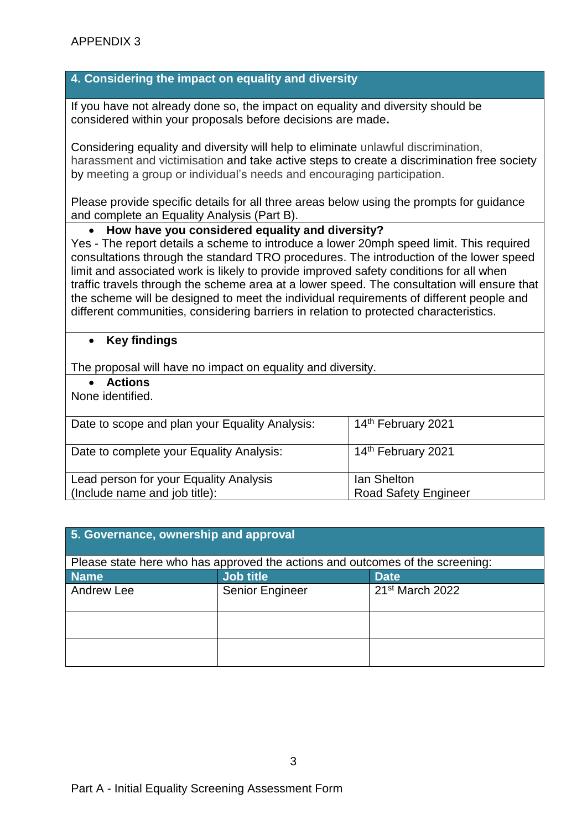## **4. Considering the impact on equality and diversity**

If you have not already done so, the impact on equality and diversity should be considered within your proposals before decisions are made**.**

Considering equality and diversity will help to eliminate unlawful discrimination, harassment and victimisation and take active steps to create a discrimination free society by meeting a group or individual's needs and encouraging participation.

Please provide specific details for all three areas below using the prompts for guidance and complete an Equality Analysis (Part B).

#### **How have you considered equality and diversity?**

Yes - The report details a scheme to introduce a lower 20mph speed limit. This required consultations through the standard TRO procedures. The introduction of the lower speed limit and associated work is likely to provide improved safety conditions for all when traffic travels through the scheme area at a lower speed. The consultation will ensure that the scheme will be designed to meet the individual requirements of different people and different communities, considering barriers in relation to protected characteristics.

#### **Key findings**

The proposal will have no impact on equality and diversity.

**Actions**

None identified.

| Date to scope and plan your Equality Analysis:                          | 14 <sup>th</sup> February 2021                    |
|-------------------------------------------------------------------------|---------------------------------------------------|
| Date to complete your Equality Analysis:                                | 14 <sup>th</sup> February 2021                    |
| Lead person for your Equality Analysis<br>(Include name and job title): | <b>Ian Shelton</b><br><b>Road Safety Engineer</b> |

| 5. Governance, ownership and approval                                         |                  |                             |  |  |
|-------------------------------------------------------------------------------|------------------|-----------------------------|--|--|
| Please state here who has approved the actions and outcomes of the screening: |                  |                             |  |  |
| <b>Name</b>                                                                   | <b>Job title</b> | <b>Date</b>                 |  |  |
| Andrew Lee                                                                    | Senior Engineer  | 21 <sup>st</sup> March 2022 |  |  |
|                                                                               |                  |                             |  |  |
|                                                                               |                  |                             |  |  |